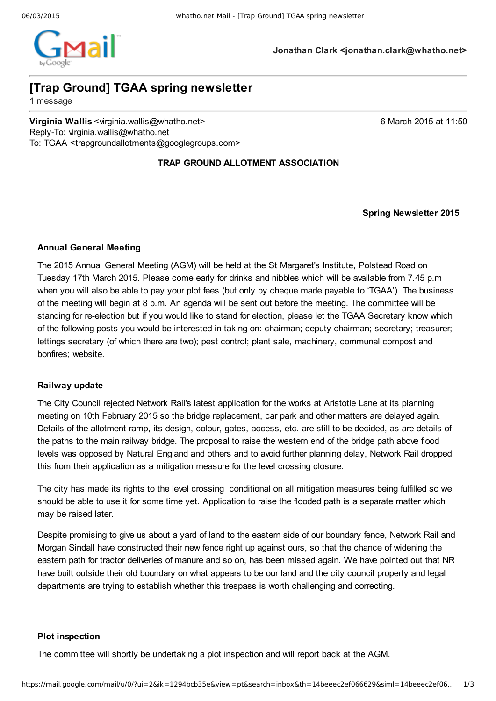

**Jonathan Clark <jonathan.clark@whatho.net>**

# **[Trap Ground] TGAA spring newsletter**

1 message

**Virginia Wallis** <virginia.wallis@whatho.net> 6 March 2015 at 11:50 Reply-To: virginia.wallis@whatho.net To: TGAA <trapgroundallotments@googlegroups.com>

# **TRAP GROUND ALLOTMENT ASSOCIATION**

**Spring Newsletter 2015**

# **Annual General Meeting**

The 2015 Annual General Meeting (AGM) will be held at the St Margaret's Institute, Polstead Road on Tuesday 17th March 2015. Please come early for drinks and nibbles which will be available from 7.45 p.m when you will also be able to pay your plot fees (but only by cheque made payable to 'TGAA'). The business of the meeting will begin at 8 p.m. An agenda will be sent out before the meeting. The committee will be standing for reelection but if you would like to stand for election, please let the TGAA Secretary know which of the following posts you would be interested in taking on: chairman; deputy chairman; secretary; treasurer; lettings secretary (of which there are two); pest control; plant sale, machinery, communal compost and bonfires; website.

## **Railway update**

The City Council rejected Network Rail's latest application for the works at Aristotle Lane at its planning meeting on 10th February 2015 so the bridge replacement, car park and other matters are delayed again. Details of the allotment ramp, its design, colour, gates, access, etc. are still to be decided, as are details of the paths to the main railway bridge. The proposal to raise the western end of the bridge path above flood levels was opposed by Natural England and others and to avoid further planning delay, Network Rail dropped this from their application as a mitigation measure for the level crossing closure.

The city has made its rights to the level crossing conditional on all mitigation measures being fulfilled so we should be able to use it for some time yet. Application to raise the flooded path is a separate matter which may be raised later.

Despite promising to give us about a yard of land to the eastern side of our boundary fence, Network Rail and Morgan Sindall have constructed their new fence right up against ours, so that the chance of widening the eastern path for tractor deliveries of manure and so on, has been missed again. We have pointed out that NR have built outside their old boundary on what appears to be our land and the city council property and legal departments are trying to establish whether this trespass is worth challenging and correcting.

### **Plot inspection**

The committee will shortly be undertaking a plot inspection and will report back at the AGM.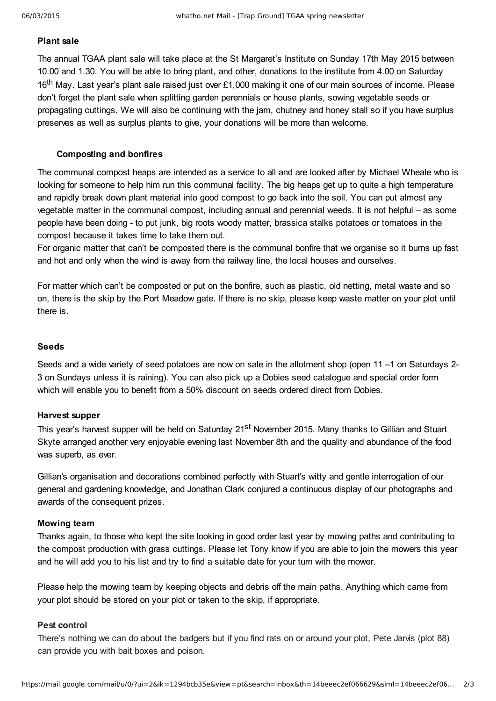#### **Plant sale**

The annual TGAA plant sale will take place at the St Margaret's Institute on Sunday 17th May 2015 between 10.00 and 1.30. You will be able to bring plant, and other, donations to the institute from 4.00 on Saturday 16<sup>th</sup> May. Last year's plant sale raised just over £1,000 making it one of our main sources of income. Please don't forget the plant sale when splitting garden perennials or house plants, sowing vegetable seeds or propagating cuttings. We will also be continuing with the jam, chutney and honey stall so if you have surplus preserves as well as surplus plants to give, your donations will be more than welcome.

#### **Composting and bonfires**

The communal compost heaps are intended as a service to all and are looked after by Michael Wheale who is looking for someone to help him run this communal facility. The big heaps get up to quite a high temperature and rapidly break down plant material into good compost to go back into the soil. You can put almost any vegetable matter in the communal compost, including annual and perennial weeds. It is not helpful – as some people have been doing - to put junk, big roots woody matter, brassica stalks potatoes or tomatoes in the compost because it takes time to take them out.

For organic matter that can't be composted there is the communal bonfire that we organise so it burns up fast and hot and only when the wind is away from the railway line, the local houses and ourselves.

For matter which can't be composted or put on the bonfire, such as plastic, old netting, metal waste and so on, there is the skip by the Port Meadow gate. If there is no skip, please keep waste matter on your plot until there is.

#### **Seeds**

Seeds and a wide variety of seed potatoes are now on sale in the allotment shop (open 11 –1 on Saturdays 2-3 on Sundays unless it is raining). You can also pick up a Dobies seed catalogue and special order form which will enable you to benefit from a 50% discount on seeds ordered direct from Dobies.

#### **Harvest supper**

This year's harvest supper will be held on Saturday 21<sup>st</sup> November 2015. Many thanks to Gillian and Stuart Skyte arranged another very enjoyable evening last November 8th and the quality and abundance of the food was superb, as ever.

Gillian's organisation and decorations combined perfectly with Stuart's witty and gentle interrogation of our general and gardening knowledge, and Jonathan Clark conjured a continuous display of our photographs and awards of the consequent prizes.

#### **Mowing team**

Thanks again, to those who kept the site looking in good order last year by mowing paths and contributing to the compost production with grass cuttings. Please let Tony know if you are able to join the mowers this year and he will add you to his list and try to find a suitable date for your turn with the mower.

Please help the mowing team by keeping objects and debris off the main paths. Anything which came from your plot should be stored on your plot or taken to the skip, if appropriate.

## **Pest control**

There's nothing we can do about the badgers but if you find rats on or around your plot, Pete Jarvis (plot 88) can provide you with bait boxes and poison.